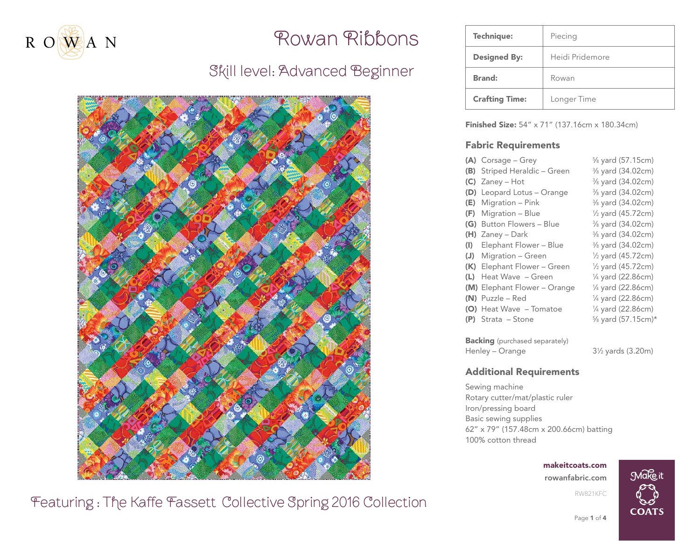

# Skill level: Advanced Beginner



| Technique:            | Piecing         |  |
|-----------------------|-----------------|--|
| <b>Designed By:</b>   | Heidi Pridemore |  |
| <b>Brand:</b>         | Rowan           |  |
| <b>Crafting Time:</b> | Longer Time     |  |

**Finished Size:** 54" x 71" (137.16cm x 180.34cm)

#### Fabric Requirements

|                                       |     | $(A)$ Corsage – Grey         | % yard (57.15cm)               |  |  |  |  |
|---------------------------------------|-----|------------------------------|--------------------------------|--|--|--|--|
|                                       | (B) | Striped Heraldic - Green     | 3/8 yard (34.02cm)             |  |  |  |  |
|                                       | (C) | Zaney – Hot                  | 3/8 yard (34.02cm)             |  |  |  |  |
|                                       | (D) | Leopard Lotus - Orange       | 3/8 yard (34.02cm)             |  |  |  |  |
|                                       | (E) | Migration – Pink             | % yard (34.02cm)               |  |  |  |  |
|                                       | (F) | Migration – Blue             | $\frac{1}{2}$ yard (45.72cm)   |  |  |  |  |
|                                       | (G) | <b>Button Flowers - Blue</b> | % yard (34.02cm)               |  |  |  |  |
|                                       | (H) | Zaney – Dark                 | 3/8 yard (34.02cm)             |  |  |  |  |
|                                       | (I) | Elephant Flower – Blue       | % yard (34.02cm)               |  |  |  |  |
|                                       | (J) | Migration - Green            | 1/ <sub>2</sub> yard (45.72cm) |  |  |  |  |
|                                       |     | (K) Elephant Flower - Green  | $\frac{1}{2}$ yard (45.72cm)   |  |  |  |  |
|                                       | (L) | Heat Wave - Green            | 1/4 yard (22.86cm)             |  |  |  |  |
|                                       |     | (M) Elephant Flower - Orange | $\frac{1}{4}$ yard (22.86cm)   |  |  |  |  |
|                                       |     | $(N)$ Puzzle – Red           | 1/4 yard (22.86cm)             |  |  |  |  |
|                                       |     | (O) Heat Wave - Tomatoe      | $\frac{1}{4}$ yard (22.86cm)   |  |  |  |  |
|                                       |     | $(P)$ Strata - Stone         | % yard (57.15cm)*              |  |  |  |  |
| <b>Backing</b> (purchased separately) |     |                              |                                |  |  |  |  |
|                                       |     |                              |                                |  |  |  |  |

Henley – Orange

⁄2 yards (3.20m)

### Additional Requirements

Sewing machine Rotary cutter/mat/plastic ruler Iron/pressing board Basic sewing supplies 62" x 79" (157.48cm x 200.66cm) batting 100% cotton thread

makeitcoats.com

[rowanfabric.com](http://www.rowanfabric.com)

RW821KFC



Page 1 of 4

Make it

**COATS**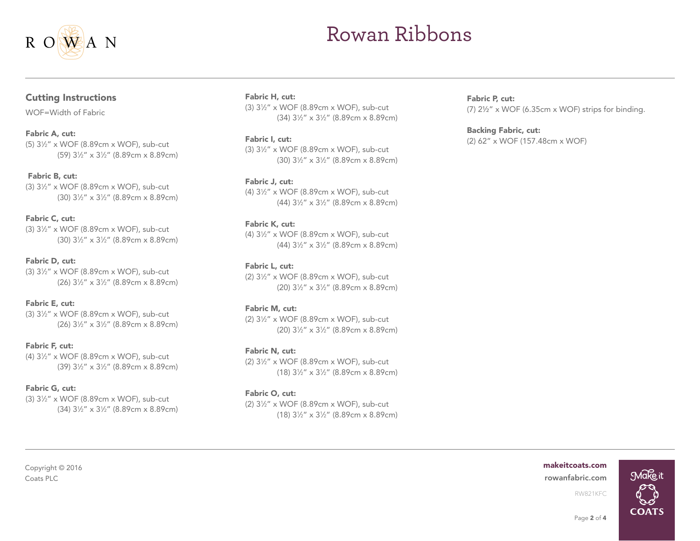

### Cutting Instructions

WOF=Width of Fabric

#### Fabric A, cut:

(5) 31 ⁄2" x WOF (8.89cm x WOF), sub-cut (59) 31 ⁄2" x 31 ⁄2" (8.89cm x 8.89cm)

#### Fabric B, cut:

(3) 31 ⁄2" x WOF (8.89cm x WOF), sub-cut (30) 31 ⁄2" x 31 ⁄2" (8.89cm x 8.89cm)

#### Fabric C, cut:

(3) 31 ⁄2" x WOF (8.89cm x WOF), sub-cut (30) 31 ⁄2" x 31 ⁄2" (8.89cm x 8.89cm)

#### Fabric D, cut:

(3) 31 ⁄2" x WOF (8.89cm x WOF), sub-cut (26) 31 ⁄2" x 31 ⁄2" (8.89cm x 8.89cm)

#### Fabric E, cut:

(3) 31 ⁄2" x WOF (8.89cm x WOF), sub-cut (26) 31 ⁄2" x 31 ⁄2" (8.89cm x 8.89cm)

#### Fabric F, cut:

(4) 31 ⁄2" x WOF (8.89cm x WOF), sub-cut (39) 31 ⁄2" x 31 ⁄2" (8.89cm x 8.89cm)

#### Fabric G, cut:

(3) 31 ⁄2" x WOF (8.89cm x WOF), sub-cut (34) 31 ⁄2" x 31 ⁄2" (8.89cm x 8.89cm)

#### Fabric H, cut:

(3) 31 ⁄2" x WOF (8.89cm x WOF), sub-cut (34) 31 ⁄2" x 31 ⁄2" (8.89cm x 8.89cm)

#### Fabric I, cut:

(3) 31 ⁄2" x WOF (8.89cm x WOF), sub-cut (30) 31 ⁄2" x 31 ⁄2" (8.89cm x 8.89cm)

#### Fabric J, cut:

(4) 31 ⁄2" x WOF (8.89cm x WOF), sub-cut (44) 31 ⁄2" x 31 ⁄2" (8.89cm x 8.89cm)

#### Fabric K, cut:

(4) 31 ⁄2" x WOF (8.89cm x WOF), sub-cut (44) 31 ⁄2" x 31 ⁄2" (8.89cm x 8.89cm)

#### Fabric L, cut:

(2) 31 ⁄2" x WOF (8.89cm x WOF), sub-cut (20) 31 ⁄2" x 31 ⁄2" (8.89cm x 8.89cm)

#### Fabric M, cut:

(2) 31 ⁄2" x WOF (8.89cm x WOF), sub-cut (20) 31 ⁄2" x 31 ⁄2" (8.89cm x 8.89cm)

#### Fabric N, cut:

(2) 31 ⁄2" x WOF (8.89cm x WOF), sub-cut (18) 31 ⁄2" x 31 ⁄2" (8.89cm x 8.89cm)

#### Fabric O, cut:

(2) 31 ⁄2" x WOF (8.89cm x WOF), sub-cut (18) 31 ⁄2" x 31 ⁄2" (8.89cm x 8.89cm) Fabric P, cut: (7) 2½" x WOF (6.35cm x WOF) strips for binding.

#### Backing Fabric, cut: (2) 62" x WOF (157.48cm x WOF)

#### makeitcoats.com

Coats PLC [rowanfabric.com](http://www.rowanfabric.com)



# Copyright © 2016

Page 2 of 4

RW821KFC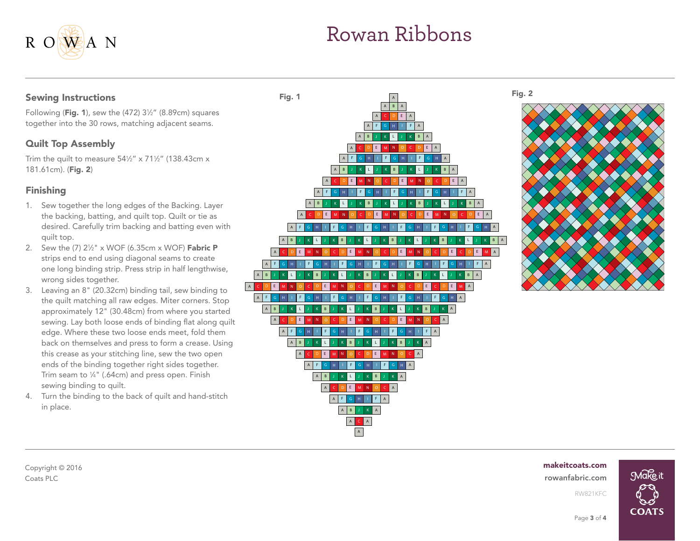### Sewing Instructions

R ONEAN

Following (**Fig. 1**), sew the (472) 3½" (8.89cm) squares together into the 30 rows, matching adjacent seams.

### Quilt Top Assembly

Trim the quilt to measure 54½" x 71½" (138.43cm x 181.61cm). (Fig. 2)

## Finishing

- 1. Sew together the long edges of the Backing. Layer the backing, batting, and quilt top. Quilt or tie as desired. Carefully trim backing and batting even with quilt top.
- 2. Sew the (7) 2½" x WOF (6.35cm x WOF) **Fabric P** strips end to end using diagonal seams to create one long binding strip. Press strip in half lengthwise, wrong sides together.
- 3. Leaving an 8" (20.32cm) binding tail, sew binding to the quilt matching all raw edges. Miter corners. Stop approximately 12" (30.48cm) from where you started sewing. Lay both loose ends of binding flat along quilt edge. Where these two loose ends meet, fold them back on themselves and press to form a crease. Using this crease as your stitching line, sew the two open ends of the binding together right sides together. Trim seam to 1 ⁄4" (.64cm) and press open. Finish sewing binding to quilt.
- 4. Turn the binding to the back of quilt and hand-stitch in place.





#### makeitcoats.com



Copyright © 2016 Coats PLC [rowanfabric.com](http://www.rowanfabric.com)

Page 3 of 4

RW821KFC